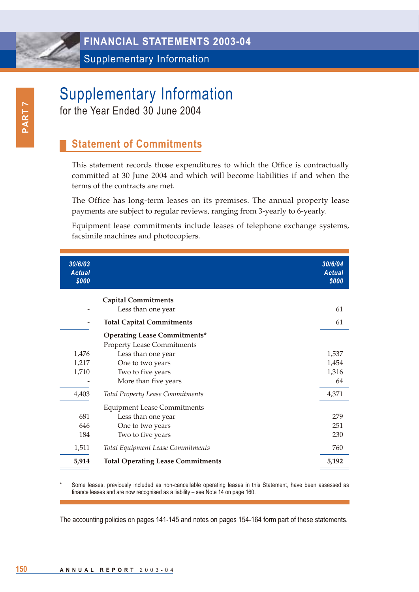Supplementary Information

# Supplementary Information

for the Year Ended 30 June 2004

## **Statement of Commitments**

This statement records those expenditures to which the Office is contractually committed at 30 June 2004 and which will become liabilities if and when the terms of the contracts are met.

The Office has long-term leases on its premises. The annual property lease payments are subject to regular reviews, ranging from 3-yearly to 6-yearly.

Equipment lease commitments include leases of telephone exchange systems, facsimile machines and photocopiers.

| 30/6/03<br><b>Actual</b><br>\$000 |                                                                          | 30/6/04<br><b>Actual</b><br>\$000 |
|-----------------------------------|--------------------------------------------------------------------------|-----------------------------------|
|                                   | <b>Capital Commitments</b>                                               |                                   |
|                                   | Less than one year                                                       | 61                                |
|                                   | <b>Total Capital Commitments</b>                                         | 61                                |
|                                   | <b>Operating Lease Commitments*</b><br><b>Property Lease Commitments</b> |                                   |
| 1,476                             | Less than one year                                                       | 1,537                             |
| 1,217                             | One to two years                                                         | 1,454                             |
| 1,710                             | Two to five years                                                        | 1,316                             |
|                                   | More than five years                                                     | 64                                |
| 4,403                             | <b>Total Property Lease Commitments</b>                                  | 4,371                             |
|                                   | <b>Equipment Lease Commitments</b>                                       |                                   |
| 681                               | Less than one year                                                       | 279                               |
| 646                               | One to two years                                                         | 251                               |
| 184                               | Two to five years                                                        | 230                               |
| 1,511                             | Total Equipment Lease Commitments                                        | 760                               |
| 5,914                             | <b>Total Operating Lease Commitments</b>                                 | 5,192                             |
|                                   |                                                                          |                                   |

Some leases, previously included as non-cancellable operating leases in this Statement, have been assessed as finance leases and are now recognised as a liability – see Note 14 on page 160.

The accounting policies on pages 141-145 and notes on pages 154-164 form part of these statements.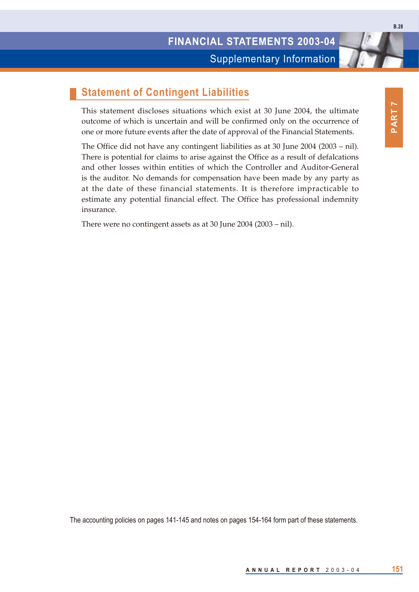Supplementary Information

#### **Statement of Contingent Liabilities**

This statement discloses situations which exist at 30 June 2004, the ultimate outcome of which is uncertain and will be confirmed only on the occurrence of one or more future events after the date of approval of the Financial Statements.

The Office did not have any contingent liabilities as at 30 June 2004 (2003 – nil). There is potential for claims to arise against the Office as a result of defalcations and other losses within entities of which the Controller and Auditor-General is the auditor. No demands for compensation have been made by any party as at the date of these financial statements. It is therefore impracticable to estimate any potential financial effect. The Office has professional indemnity insurance.

There were no contingent assets as at 30 June 2004 (2003 – nil).

The accounting policies on pages 141-145 and notes on pages 154-164 form part of these statements.

**B.28**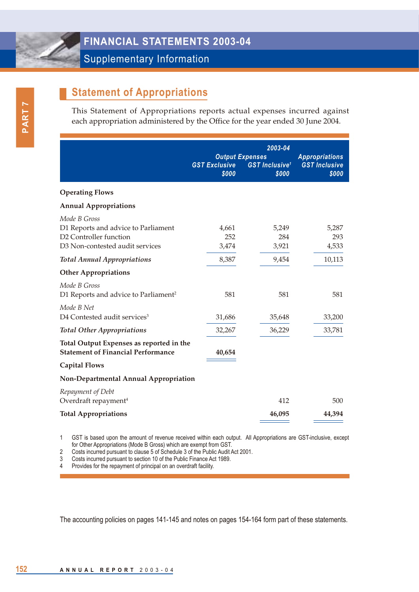### **FINANCIAL STATEMENTS 2003-04**

Supplementary Information

## **Statement of Appropriations**

This Statement of Appropriations reports actual expenses incurred against each appropriation administered by the Office for the year ended 30 June 2004.

|                                                                                                                  | <b>GST Exclusive</b><br>\$000 | 2003-04<br><b>Output Expenses</b><br><b>GST Inclusive<sup>1</sup></b><br>\$000 | <b>Appropriations</b><br><b>GST Inclusive</b><br>\$000 |
|------------------------------------------------------------------------------------------------------------------|-------------------------------|--------------------------------------------------------------------------------|--------------------------------------------------------|
| <b>Operating Flows</b>                                                                                           |                               |                                                                                |                                                        |
| <b>Annual Appropriations</b>                                                                                     |                               |                                                                                |                                                        |
| Mode B Gross<br>D1 Reports and advice to Parliament<br>D2 Controller function<br>D3 Non-contested audit services | 4,661<br>252<br>3,474         | 5,249<br>284<br>3,921                                                          | 5,287<br>293<br>4,533                                  |
| <b>Total Annual Appropriations</b>                                                                               | 8,387                         | 9,454                                                                          | 10,113                                                 |
| <b>Other Appropriations</b>                                                                                      |                               |                                                                                |                                                        |
| Mode B Gross<br>D1 Reports and advice to Parliament <sup>2</sup>                                                 | 581                           | 581                                                                            | 581                                                    |
| Mode B Net<br>D4 Contested audit services <sup>3</sup>                                                           | 31,686                        | 35,648                                                                         | 33,200                                                 |
| <b>Total Other Appropriations</b>                                                                                | 32,267                        | 36,229                                                                         | 33,781                                                 |
| Total Output Expenses as reported in the<br><b>Statement of Financial Performance</b>                            | 40,654                        |                                                                                |                                                        |
| <b>Capital Flows</b>                                                                                             |                               |                                                                                |                                                        |
| Non-Departmental Annual Appropriation                                                                            |                               |                                                                                |                                                        |
| Repayment of Debt<br>Overdraft repayment <sup>4</sup>                                                            |                               | 412                                                                            | 500                                                    |
| <b>Total Appropriations</b>                                                                                      |                               | 46,095                                                                         | 44,394                                                 |

1 GST is based upon the amount of revenue received within each output. All Appropriations are GST-inclusive, except for Other Appropriations (Mode B Gross) which are exempt from GST.

2 Costs incurred pursuant to clause 5 of Schedule 3 of the Public Audit Act 2001.

3 Costs incurred pursuant to section 10 of the Public Finance Act 1989.

4 Provides for the repayment of principal on an overdraft facility.

The accounting policies on pages 141-145 and notes on pages 154-164 form part of these statements.